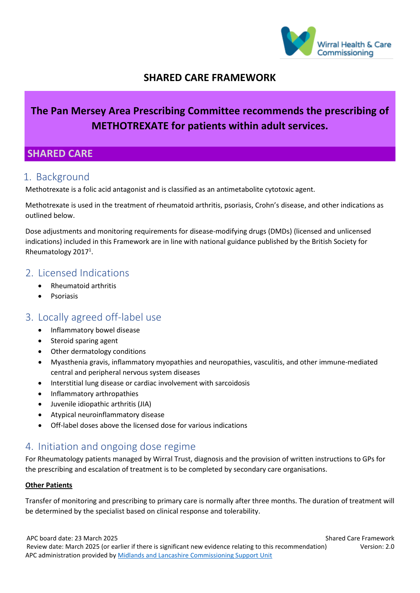

### **SHARED CARE FRAMEWORK**

# **The Pan Mersey Area Prescribing Committee recommends the prescribing of METHOTREXATE for patients within adult services.**

### **SHARED CARE**

### 1. Background

Methotrexate is a folic acid antagonist and is classified as an antimetabolite cytotoxic agent.

Methotrexate is used in the treatment of rheumatoid arthritis, psoriasis, Crohn's disease, and other indications as outlined below.

Dose adjustments and monitoring requirements for disease-modifying drugs (DMDs) (licensed and unlicensed indications) included in this Framework are in line with national guidance published by the British Society for Rheumatology 2017<sup>1</sup>.

#### 2. Licensed Indications

- Rheumatoid arthritis
- Psoriasis

### 3. Locally agreed off-label use

- Inflammatory bowel disease
- Steroid sparing agent
- Other dermatology conditions
- Myasthenia gravis, inflammatory myopathies and neuropathies, vasculitis, and other immune-mediated central and peripheral nervous system diseases
- Interstitial lung disease or cardiac involvement with sarcoidosis
- Inflammatory arthropathies
- Juvenile idiopathic arthritis (JIA)
- Atypical neuroinflammatory disease
- Off-label doses above the licensed dose for various indications

### 4. Initiation and ongoing dose regime

For Rheumatology patients managed by Wirral Trust, diagnosis and the provision of written instructions to GPs for the prescribing and escalation of treatment is to be completed by secondary care organisations.

#### **Other Patients**

Transfer of monitoring and prescribing to primary care is normally after three months. The duration of treatment will be determined by the specialist based on clinical response and tolerability.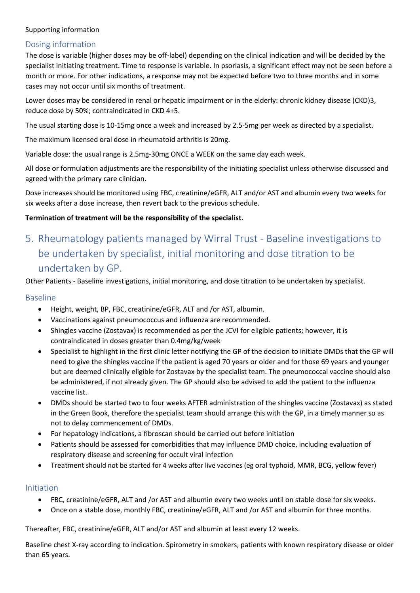#### Dosing information

The dose is variable (higher doses may be off-label) depending on the clinical indication and will be decided by the specialist initiating treatment. Time to response is variable. In psoriasis, a significant effect may not be seen before a month or more. For other indications, a response may not be expected before two to three months and in some cases may not occur until six months of treatment.

Lower doses may be considered in renal or hepatic impairment or in the elderly: chronic kidney disease (CKD)3, reduce dose by 50%; contraindicated in CKD 4+5.

The usual starting dose is 10-15mg once a week and increased by 2.5-5mg per week as directed by a specialist.

The maximum licensed oral dose in rheumatoid arthritis is 20mg.

Variable dose: the usual range is 2.5mg-30mg ONCE a WEEK on the same day each week.

All dose or formulation adjustments are the responsibility of the initiating specialist unless otherwise discussed and agreed with the primary care clinician.

Dose increases should be monitored using FBC, creatinine/eGFR, ALT and/or AST and albumin every two weeks for six weeks after a dose increase, then revert back to the previous schedule.

#### **Termination of treatment will be the responsibility of the specialist.**

# 5. Rheumatology patients managed by Wirral Trust - Baseline investigations to be undertaken by specialist, initial monitoring and dose titration to be undertaken by GP.

Other Patients - Baseline investigations, initial monitoring, and dose titration to be undertaken by specialist.

#### Baseline

- Height, weight, BP, FBC, creatinine/eGFR, ALT and /or AST, albumin.
- Vaccinations against pneumococcus and influenza are recommended.
- Shingles vaccine (Zostavax) is recommended as per the JCVI for eligible patients; however, it is contraindicated in doses greater than 0.4mg/kg/week
- Specialist to highlight in the first clinic letter notifying the GP of the decision to initiate DMDs that the GP will need to give the shingles vaccine if the patient is aged 70 years or older and for those 69 years and younger but are deemed clinically eligible for Zostavax by the specialist team. The pneumococcal vaccine should also be administered, if not already given. The GP should also be advised to add the patient to the influenza vaccine list.
- DMDs should be started two to four weeks AFTER administration of the shingles vaccine (Zostavax) as stated in the Green Book, therefore the specialist team should arrange this with the GP, in a timely manner so as not to delay commencement of DMDs.
- For hepatology indications, a fibroscan should be carried out before initiation
- Patients should be assessed for comorbidities that may influence DMD choice, including evaluation of respiratory disease and screening for occult viral infection
- Treatment should not be started for 4 weeks after live vaccines (eg oral typhoid, MMR, BCG, yellow fever)

#### Initiation

- FBC, creatinine/eGFR, ALT and /or AST and albumin every two weeks until on stable dose for six weeks.
- Once on a stable dose, monthly FBC, creatinine/eGFR, ALT and /or AST and albumin for three months.

Thereafter, FBC, creatinine/eGFR, ALT and/or AST and albumin at least every 12 weeks.

Baseline chest X-ray according to indication. Spirometry in smokers, patients with known respiratory disease or older than 65 years.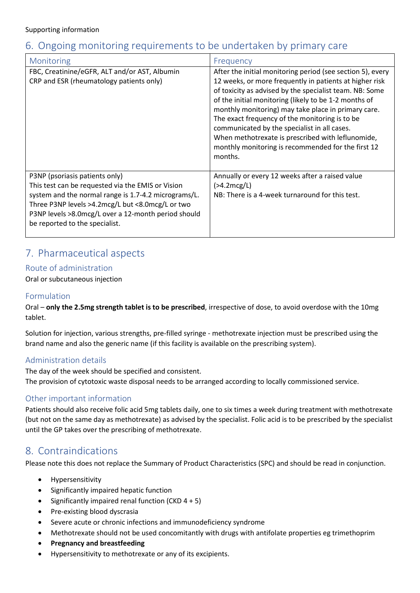# 6. Ongoing monitoring requirements to be undertaken by primary care

| Monitoring                                                                                                                                                                                                                                                                               | Frequency                                                                                                                                                                                                                                                                                                                                                                                                                                                                                                                |
|------------------------------------------------------------------------------------------------------------------------------------------------------------------------------------------------------------------------------------------------------------------------------------------|--------------------------------------------------------------------------------------------------------------------------------------------------------------------------------------------------------------------------------------------------------------------------------------------------------------------------------------------------------------------------------------------------------------------------------------------------------------------------------------------------------------------------|
| FBC, Creatinine/eGFR, ALT and/or AST, Albumin<br>CRP and ESR (rheumatology patients only)                                                                                                                                                                                                | After the initial monitoring period (see section 5), every<br>12 weeks, or more frequently in patients at higher risk<br>of toxicity as advised by the specialist team. NB: Some<br>of the initial monitoring (likely to be 1-2 months of<br>monthly monitoring) may take place in primary care.<br>The exact frequency of the monitoring is to be<br>communicated by the specialist in all cases.<br>When methotrexate is prescribed with leflunomide,<br>monthly monitoring is recommended for the first 12<br>months. |
| P3NP (psoriasis patients only)<br>This test can be requested via the EMIS or Vision<br>system and the normal range is 1.7-4.2 micrograms/L.<br>Three P3NP levels >4.2mcg/L but <8.0mcg/L or two<br>P3NP levels >8.0mcg/L over a 12-month period should<br>be reported to the specialist. | Annually or every 12 weeks after a raised value<br>$($ >4.2mcg/L)<br>NB: There is a 4-week turnaround for this test.                                                                                                                                                                                                                                                                                                                                                                                                     |

# 7. Pharmaceutical aspects

#### Route of administration

Oral or subcutaneous injection

#### Formulation

Oral – **only the 2.5mg strength tablet is to be prescribed**, irrespective of dose, to avoid overdose with the 10mg tablet.

Solution for injection, various strengths, pre-filled syringe - methotrexate injection must be prescribed using the brand name and also the generic name (if this facility is available on the prescribing system).

#### Administration details

The day of the week should be specified and consistent. The provision of cytotoxic waste disposal needs to be arranged according to locally commissioned service.

#### Other important information

Patients should also receive folic acid 5mg tablets daily, one to six times a week during treatment with methotrexate (but not on the same day as methotrexate) as advised by the specialist. Folic acid is to be prescribed by the specialist until the GP takes over the prescribing of methotrexate.

### 8. Contraindications

Please note this does not replace the Summary of Product Characteristics (SPC) and should be read in conjunction.

- Hypersensitivity
- Significantly impaired hepatic function
- Significantly impaired renal function (CKD 4 + 5)
- Pre-existing blood dyscrasia
- Severe acute or chronic infections and immunodeficiency syndrome
- Methotrexate should not be used concomitantly with drugs with antifolate properties eg trimethoprim
- **Pregnancy and breastfeeding**
- Hypersensitivity to methotrexate or any of its excipients.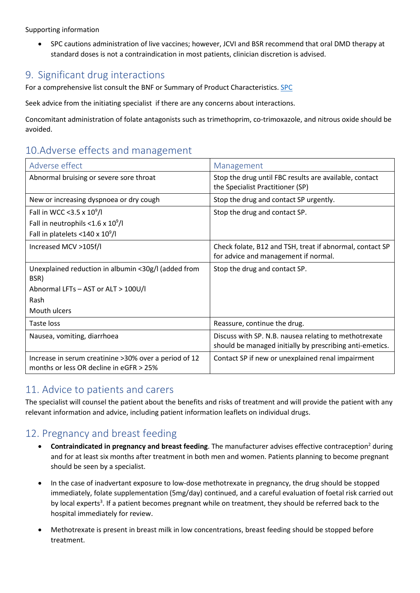• SPC cautions administration of live vaccines; however, JCVI and BSR recommend that oral DMD therapy at standard doses is not a contraindication in most patients, clinician discretion is advised.

### 9. Significant drug interactions

For a comprehensive list consult the BNF or Summary of Product Characteristics. [SPC](https://www.medicines.org.uk/emc/search?q=methotrexate)

Seek advice from the initiating specialist if there are any concerns about interactions.

Concomitant administration of folate antagonists such as trimethoprim, co-trimoxazole, and nitrous oxide should be avoided.

# 10.Adverse effects and management

| Adverse effect                                                                                    | Management                                                                                                        |
|---------------------------------------------------------------------------------------------------|-------------------------------------------------------------------------------------------------------------------|
| Abnormal bruising or severe sore throat                                                           | Stop the drug until FBC results are available, contact<br>the Specialist Practitioner (SP)                        |
| New or increasing dyspnoea or dry cough                                                           | Stop the drug and contact SP urgently.                                                                            |
| Fall in WCC < 3.5 x $10^9$ /l                                                                     | Stop the drug and contact SP.                                                                                     |
| Fall in neutrophils < $1.6 \times 10^9$ /l                                                        |                                                                                                                   |
| Fall in platelets <140 x $10^9$ /l                                                                |                                                                                                                   |
| Increased MCV >105f/l                                                                             | Check folate, B12 and TSH, treat if abnormal, contact SP<br>for advice and management if normal.                  |
| Unexplained reduction in albumin <30g/l (added from<br>BSR)                                       | Stop the drug and contact SP.                                                                                     |
| Abnormal LFTs - AST or ALT > 100U/I                                                               |                                                                                                                   |
| Rash                                                                                              |                                                                                                                   |
| Mouth ulcers                                                                                      |                                                                                                                   |
| Taste loss                                                                                        | Reassure, continue the drug.                                                                                      |
| Nausea, vomiting, diarrhoea                                                                       | Discuss with SP. N.B. nausea relating to methotrexate<br>should be managed initially by prescribing anti-emetics. |
| Increase in serum creatinine > 30% over a period of 12<br>months or less OR decline in eGFR > 25% | Contact SP if new or unexplained renal impairment                                                                 |

## 11. Advice to patients and carers

The specialist will counsel the patient about the benefits and risks of treatment and will provide the patient with any relevant information and advice, including patient information leaflets on individual drugs.

## 12. Pregnancy and breast feeding

- **•** Contraindicated in pregnancy and breast feeding. The manufacturer advises effective contraception<sup>2</sup> during and for at least six months after treatment in both men and women. Patients planning to become pregnant should be seen by a specialist.
- In the case of inadvertant exposure to low-dose methotrexate in pregnancy, the drug should be stopped immediately, folate supplementation (5mg/day) continued, and a careful evaluation of foetal risk carried out by local experts<sup>3</sup>. If a patient becomes pregnant while on treatment, they should be referred back to the hospital immediately for review.
- Methotrexate is present in breast milk in low concentrations, breast feeding should be stopped before treatment.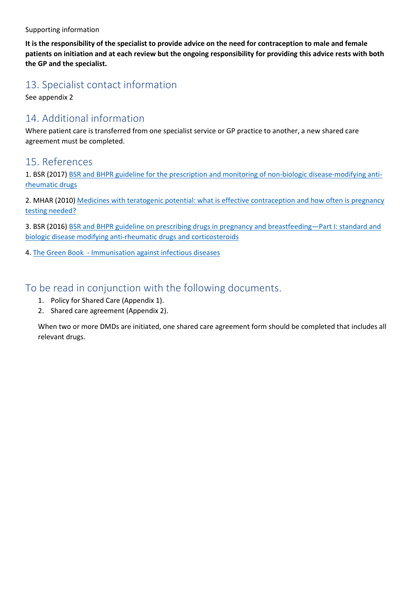**It is the responsibility of the specialist to provide advice on the need for contraception to male and female patients on initiation and at each review but the ongoing responsibility for providing this advice rests with both the GP and the specialist.**

## 13. Specialist contact information

See appendix 2

## 14. Additional information

Where patient care is transferred from one specialist service or GP practice to another, a new shared care agreement must be completed.

#### 15. References

1. BSR (2017) [BSR and BHPR guideline for the prescription and monitoring of non-biologic disease-modifying anti](https://academic.oup.com/rheumatology/article/56/6/865/3053478?login=false#97289271)[rheumatic drugs](https://academic.oup.com/rheumatology/article/56/6/865/3053478?login=false#97289271)

2. MHAR (2010) [Medicines with teratogenic potential: what is effective contraception and how often is pregnancy](https://www.gov.uk/drug-safety-update/medicines-with-teratogenic-potential-what-is-effective-contraception-and-how-often-is-pregnancy-testing-needed)  [testing needed?](https://www.gov.uk/drug-safety-update/medicines-with-teratogenic-potential-what-is-effective-contraception-and-how-often-is-pregnancy-testing-needed)

3. BSR (2016) [BSR and BHPR guideline on prescribing drugs in pregnancy and breastfeeding—Part I: standard and](https://academic.oup.com/rheumatology/article/55/9/1693/1744535)  [biologic disease modifying anti-rheumatic drugs and corticosteroids](https://academic.oup.com/rheumatology/article/55/9/1693/1744535)

4. [The Green Book - Immunisation against infectious diseases](https://www.gov.uk/government/collections/immunisation-against-infectious-disease-the-green-book#the-green-book)

### To be read in conjunction with the following documents.

- 1. Policy for Shared Care (Appendix 1).
- 2. Shared care agreement (Appendix 2).

When two or more DMDs are initiated, one shared care agreement form should be completed that includes all relevant drugs.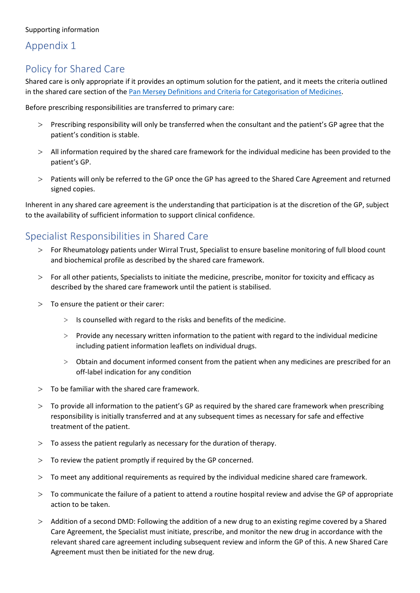## Appendix 1

# Policy for Shared Care

Shared care is only appropriate if it provides an optimum solution for the patient, and it meets the criteria outlined in the shared care section of th[e Pan Mersey Definitions and Criteria for Categorisation of Medicines.](https://www.panmerseyapc.nhs.uk/media/1393/rag_criteria.pdf)

Before prescribing responsibilities are transferred to primary care:

- > Prescribing responsibility will only be transferred when the consultant and the patient's GP agree that the patient's condition is stable.
- > All information required by the shared care framework for the individual medicine has been provided to the patient's GP.
- > Patients will only be referred to the GP once the GP has agreed to the Shared Care Agreement and returned signed copies.

Inherent in any shared care agreement is the understanding that participation is at the discretion of the GP, subject to the availability of sufficient information to support clinical confidence.

## Specialist Responsibilities in Shared Care

- > For Rheumatology patients under Wirral Trust, Specialist to ensure baseline monitoring of full blood count and biochemical profile as described by the shared care framework.
- > For all other patients, Specialists to initiate the medicine, prescribe, monitor for toxicity and efficacy as described by the shared care framework until the patient is stabilised.
- > To ensure the patient or their carer:
	- $>$  Is counselled with regard to the risks and benefits of the medicine.
	- > Provide any necessary written information to the patient with regard to the individual medicine including patient information leaflets on individual drugs.
	- > Obtain and document informed consent from the patient when any medicines are prescribed for an off-label indication for any condition
- $>$  To be familiar with the shared care framework.
- > To provide all information to the patient's GP as required by the shared care framework when prescribing responsibility is initially transferred and at any subsequent times as necessary for safe and effective treatment of the patient.
- $>$  To assess the patient regularly as necessary for the duration of therapy.
- > To review the patient promptly if required by the GP concerned.
- > To meet any additional requirements as required by the individual medicine shared care framework.
- > To communicate the failure of a patient to attend a routine hospital review and advise the GP of appropriate action to be taken.
- > Addition of a second DMD: Following the addition of a new drug to an existing regime covered by a Shared Care Agreement, the Specialist must initiate, prescribe, and monitor the new drug in accordance with the relevant shared care agreement including subsequent review and inform the GP of this. A new Shared Care Agreement must then be initiated for the new drug.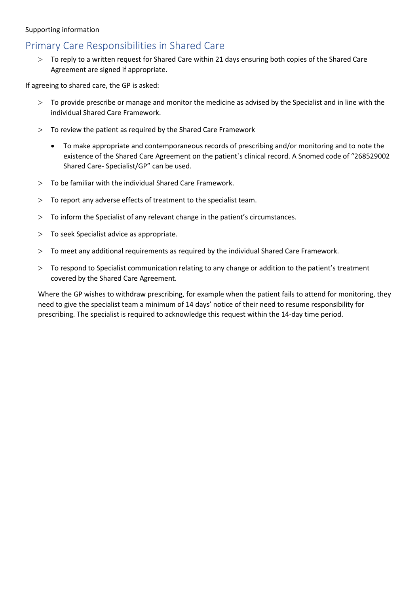# Primary Care Responsibilities in Shared Care

> To reply to a written request for Shared Care within 21 days ensuring both copies of the Shared Care Agreement are signed if appropriate.

If agreeing to shared care, the GP is asked:

- > To provide prescribe or manage and monitor the medicine as advised by the Specialist and in line with the individual Shared Care Framework.
- $>$  To review the patient as required by the Shared Care Framework
	- To make appropriate and contemporaneous records of prescribing and/or monitoring and to note the existence of the Shared Care Agreement on the patient`s clinical record. A Snomed code of "268529002 Shared Care- Specialist/GP" can be used.
- $>$  To be familiar with the individual Shared Care Framework.
- > To report any adverse effects of treatment to the specialist team.
- > To inform the Specialist of any relevant change in the patient's circumstances.
- > To seek Specialist advice as appropriate.
- > To meet any additional requirements as required by the individual Shared Care Framework.
- > To respond to Specialist communication relating to any change or addition to the patient's treatment covered by the Shared Care Agreement.

Where the GP wishes to withdraw prescribing, for example when the patient fails to attend for monitoring, they need to give the specialist team a minimum of 14 days' notice of their need to resume responsibility for prescribing. The specialist is required to acknowledge this request within the 14-day time period.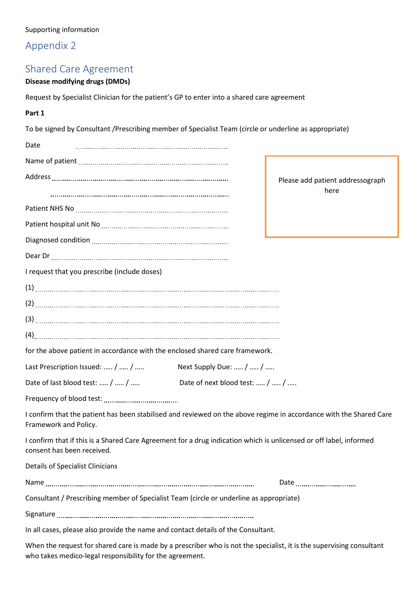# Appendix 2

# Shared Care Agreement

### **Disease modifying drugs (DMDs)**

Request by Specialist Clinician for the patient's GP to enter into a shared care agreement

| Part 1                                                                                                                                           |                                |                                          |
|--------------------------------------------------------------------------------------------------------------------------------------------------|--------------------------------|------------------------------------------|
| To be signed by Consultant /Prescribing member of Specialist Team (circle or underline as appropriate)                                           |                                |                                          |
| Date                                                                                                                                             |                                |                                          |
|                                                                                                                                                  |                                |                                          |
|                                                                                                                                                  |                                | Please add patient addressograph<br>here |
|                                                                                                                                                  |                                |                                          |
|                                                                                                                                                  |                                |                                          |
|                                                                                                                                                  |                                |                                          |
|                                                                                                                                                  |                                |                                          |
| I request that you prescribe (include doses)                                                                                                     |                                |                                          |
|                                                                                                                                                  |                                |                                          |
|                                                                                                                                                  |                                |                                          |
|                                                                                                                                                  |                                |                                          |
|                                                                                                                                                  |                                |                                          |
| for the above patient in accordance with the enclosed shared care framework.                                                                     |                                |                                          |
| Last Prescription Issued:  /  /                                                                                                                  | Next Supply Due:  /  /         |                                          |
| Date of last blood test:  /  /                                                                                                                   | Date of next blood test:  /  / |                                          |
|                                                                                                                                                  |                                |                                          |
| I confirm that the patient has been stabilised and reviewed on the above regime in accordance with the Shared Care<br>Framework and Policy.      |                                |                                          |
| I confirm that if this is a Shared Care Agreement for a drug indication which is unlicensed or off label, informed<br>consent has been received. |                                |                                          |
| <b>Details of Specialist Clinicians</b>                                                                                                          |                                |                                          |
|                                                                                                                                                  |                                | Date ___________________________         |
| Consultant / Prescribing member of Specialist Team (circle or underline as appropriate)                                                          |                                |                                          |
|                                                                                                                                                  |                                |                                          |
| In all cases, please also provide the name and contact details of the Consultant.                                                                |                                |                                          |
| When the request for shared care is made by a prescriber who is not the specialist, it is the supervising consultant                             |                                |                                          |

who takes medico-legal responsibility for the agreement.